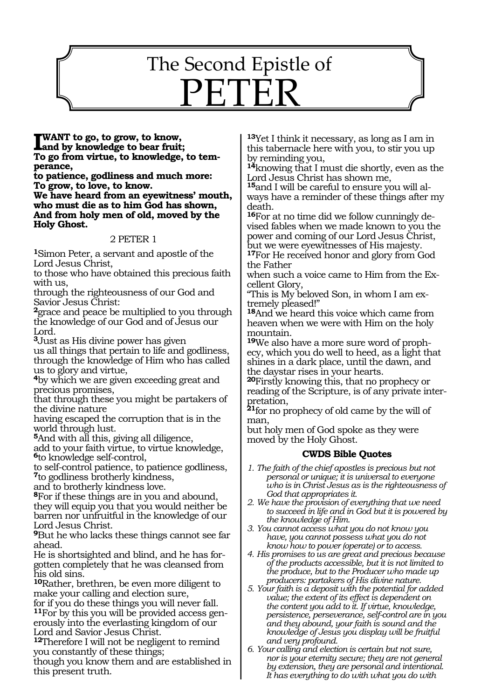# The Second Epistle of PETER

1557

**I** WANT to go, to grow, to know,<br>and by knowledge to bear fruit;<br>To ge from virtuo to knowledge **To go from virtue, to knowledge, to temperance,**

**to patience, godliness and much more: To grow, to love, to know.**

**We have heard from an eyewitness' mouth, who must die as to him God has shown, And from holy men of old, moved by the Holy Ghost.**

#### 2 PETER 1

**<sup>1</sup>**Simon Peter, a servant and apostle of the Lord Jesus Christ,

to those who have obtained this precious faith with us,

through the righteousness of our God and Savior Jesus Christ:

**<sup>2</sup>**grace and peace be multiplied to you through the knowledge of our God and of Jesus our Lord.

**<sup>3</sup>**Just as His divine power has given

us all things that pertain to life and godliness, through the knowledge of Him who has called us to glory and virtue,

**<sup>4</sup>**by which we are given exceeding great and precious promises,

that through these you might be partakers of the divine nature

having escaped the corruption that is in the world through lust.

**<sup>5</sup>**And with all this, giving all diligence,

add to your faith virtue, to virtue knowledge, **<sup>6</sup>**to knowledge self-control,

to self-control patience, to patience godliness, **<sup>7</sup>**to godliness brotherly kindness,

and to brotherly kindness love.

**<sup>8</sup>**For if these things are in you and abound, they will equip you that you would neither be barren nor unfruitful in the knowledge of our Lord Jesus Christ.

**<sup>9</sup>**But he who lacks these things cannot see far ahead.

He is shortsighted and blind, and he has forgotten completely that he was cleansed from his old sins.

**<sup>10</sup>**Rather, brethren, be even more diligent to make your calling and election sure,

for if you do these things you will never fall. **11**For by this you will be provided access generously into the everlasting kingdom of our Lord and Savior Jesus Christ.

**<sup>12</sup>**Therefore I will not be negligent to remind you constantly of these things;

though you know them and are established in this present truth.

**<sup>13</sup>**Yet I think it necessary, as long as I am in this tabernacle here with you, to stir you up by reminding you,

**<sup>14</sup>**knowing that I must die shortly, even as the Lord Jesus Christ has shown me,

**<sup>15</sup>**and I will be careful to ensure you will al- ways have a reminder of these things after my death.

**16**For at no time did we follow cunningly devised fables when we made known to you the power and coming of our Lord Jesus Christ, but we were eyewitnesses of His majesty.

**<sup>17</sup>**For He received honor and glory from God the Father

when such a voice came to Him from the Excellent Glory,

"This is My beloved Son, in whom I am extremely pleased!"

**<sup>18</sup>**And we heard this voice which came from heaven when we were with Him on the holy mountain.

**19**We also have a more sure word of prophecy, which you do well to heed, as a light that shines in a dark place, until the dawn, and the daystar rises in your hearts.

**<sup>20</sup>**Firstly knowing this, that no prophecy or reading of the Scripture, is of any private interpretation,

**<sup>21</sup>**for no prophecy of old came by the will of man,

but holy men of God spoke as they were moved by the Holy Ghost.

#### **CWDS Bible Quotes**

- *1. The faith of the chief apostles is precious but not personal or unique; it is universal to everyone who is in Christ Jesus as is the righteousness of God that appropriates it.*
- *2. We have the provision of everything that we need to succeed in life and in God but it is powered by the knowledge of Him.*
- *3. You cannot access what you do not know you have, you cannot possess what you do not know how to power (operate) or to access.*
- *4. His promises to us are great and precious because of the products accessible, but it is not limited to the produce, but to the Producer who made up producers: partakers of His divine nature.*
- *5. Your faith is a deposit with the potential for added value; the extent of its effect is dependent on the content you add to it. If virtue, knowledge, persistence, perseverance, self-control are in you and they abound, your faith is sound and the knowledge of Jesus you display will be fruitful and very profound.*
- *6. Your calling and election is certain but not sure, nor is your eternity secure; they are not general by extension, they are personal and intentional. It has everything to do with what you do with*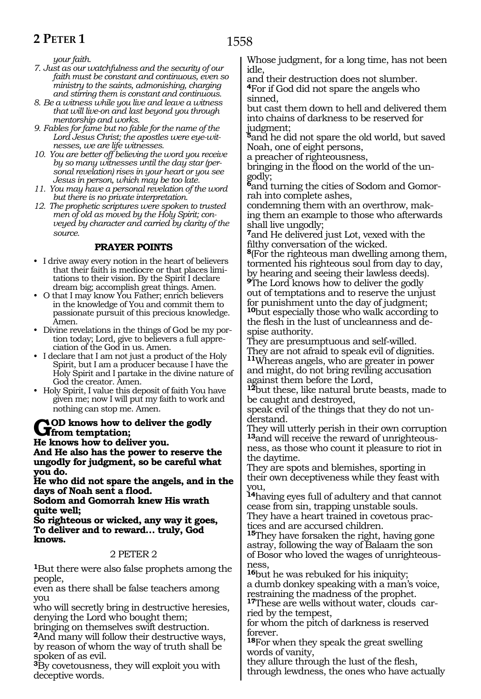### **2 PETER 1**

*your faith.*

- *7. Just as our watchfulness and the security of our faith must be constant and continuous, even so ministry to the saints, admonishing, charging and stirring them is constant and continuous.*
- *8. Be a witness while you live and leave a witness that will live-on and last beyond you through mentorship and works.*
- *9. Fables for fame but no fable for the name of the Lord Jesus Christ; the apostles were eye-witnesses, we are life witnesses.*
- *10. You are better off believing the word you receive by so many witnesses until the day star (personal revelation) rises in your heart or you see Jesus in person, which may be too late.*
- *11. You may have a personal revelation of the word but there is no private interpretation.*
- *12. The prophetic scriptures were spoken to trusted men of old as moved by the Holy Spirit; conveyed by character and carried by clarity of the source.*

#### **PRAYER POINTS**

- • I drive away every notion in the heart of believers that their faith is mediocre or that places limitations to their vision. By the Spirit I declare dream big; accomplish great things. Amen.
- O that I may know You Father; enrich believers in the knowledge of You and commit them to passionate pursuit of this precious knowledge. Amen.
- • Divine revelations in the things of God be my portion today; Lord, give to believers a full appreciation of the God in us. Amen.
- I declare that I am not just a product of the Holy Spirit, but I am a producer because I have the Holy Spirit and I partake in the divine nature of God the creator. Amen.
- • Holy Spirit, I value this deposit of faith You have given me; now I will put my faith to work and nothing can stop me. Amen.

# **GOD** knows how to deliver the godly<br> **He linear hour to deliver now**

**He knows how to deliver you. And He also has the power to reserve the ungodly for judgment, so be careful what you do.**

**He who did not spare the angels, and in the days of Noah sent a flood.**

**Sodom and Gomorrah knew His wrath quite well;**

**So righteous or wicked, any way it goes, To deliver and to reward… truly, God knows.**

#### 2 PETER 2

**<sup>1</sup>**But there were also false prophets among the people,

even as there shall be false teachers among you

who will secretly bring in destructive heresies, denying the Lord who bought them;

bringing on themselves swift destruction. **<sup>2</sup>**And many will follow their destructive ways, by reason of whom the way of truth shall be spoken of as evil.

**<sup>3</sup>**By covetousness, they will exploit you with deceptive words.

Whose judgment, for a long time, has not been idle,

and their destruction does not slumber. **<sup>4</sup>**For if God did not spare the angels who sinned,

but cast them down to hell and delivered them into chains of darkness to be reserved for judgment;

**<sup>5</sup>**and he did not spare the old world, but saved Noah, one of eight persons,

a preacher of righteousness,

bringing in the flood on the world of the ungodly;

**6**and turning the cities of Sodom and Gomorrah into complete ashes,

condemning them with an overthrow, making them an example to those who afterwards shall live ungodly;

**<sup>7</sup>**and He delivered just Lot, vexed with the filthy conversation of the wicked.

**<sup>8</sup>**(For the righteous man dwelling among them, tormented his righteous soul from day to day, by hearing and seeing their lawless deeds).

**<sup>9</sup>**The Lord knows how to deliver the godly out of temptations and to reserve the unjust for punishment unto the day of judgment; **<sup>10</sup>**but especially those who walk according to

the flesh in the lust of uncleanness and despise authority.

They are presumptuous and self-willed. They are not afraid to speak evil of dignities. **<sup>11</sup>**Whereas angels, who are greater in power and might, do not bring reviling accusation against them before the Lord,

**<sup>12</sup>**but these, like natural brute beasts, made to be caught and destroyed,

speak evil of the things that they do not understand.

They will utterly perish in their own corruption **<sup>13</sup>**and will receive the reward of unrighteous- ness, as those who count it pleasure to riot in the daytime.

They are spots and blemishes, sporting in their own deceptiveness while they feast with you,

**<sup>14</sup>**having eyes full of adultery and that cannot cease from sin, trapping unstable souls. They have a heart trained in covetous prac-

tices and are accursed children.

**<sup>15</sup>**They have forsaken the right, having gone astray, following the way of Balaam the son of Bosor who loved the wages of unrighteousness,

**<sup>16</sup>**but he was rebuked for his iniquity; a dumb donkey speaking with a man's voice, restraining the madness of the prophet.

**17**These are wells without water, clouds carried by the tempest,

for whom the pitch of darkness is reserved forever.

**<sup>18</sup>**For when they speak the great swelling words of vanity,

they allure through the lust of the flesh, through lewdness, the ones who have actually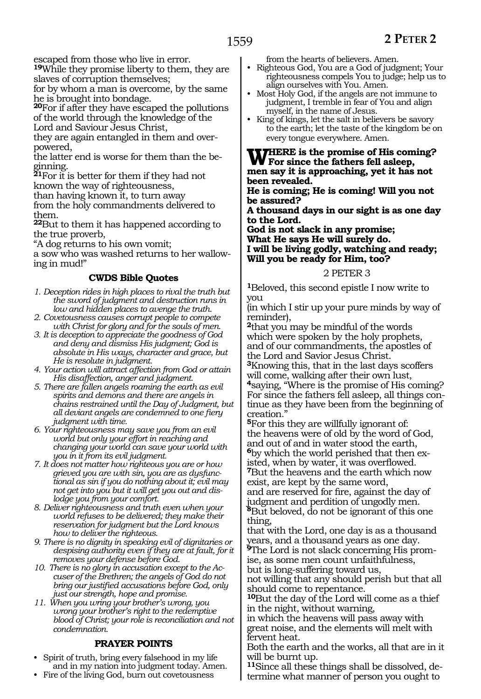escaped from those who live in error.

**<sup>19</sup>**While they promise liberty to them, they are slaves of corruption themselves;

for by whom a man is overcome, by the same he is brought into bondage.

**<sup>20</sup>**For if after they have escaped the pollutions of the world through the knowledge of the Lord and Saviour Jesus Christ,

they are again entangled in them and overpowered,

the latter end is worse for them than the beginning.

**<sup>21</sup>**For it is better for them if they had not known the way of righteousness,

than having known it, to turn away

from the holy commandments delivered to them.

**<sup>22</sup>**But to them it has happened according to the true proverb,

"A dog returns to his own vomit;

a sow who was washed returns to her wallowing in mud!"

#### **CWDS Bible Quotes**

- *1. Deception rides in high places to rival the truth but the sword of judgment and destruction runs in low and hidden places to avenge the truth.*
- *2. Covetousness causes corrupt people to compete with Christ for glory and for the souls of men.*
- *3. It is deception to appreciate the goodness of God and deny and dismiss His judgment; God is absolute in His ways, character and grace, but He is resolute in judgment.*
- *4. Your action will attract affection from God or attain His disaffection, anger and judgment.*
- *5. There are fallen angels roaming the earth as evil spirits and demons and there are angels in chains restrained until the Day of Judgment, but all deviant angels are condemned to one fiery judgment with time.*
- *6. Your righteousness may save you from an evil world but only your effort in reaching and changing your world can save your world with you in it from its evil judgment.*
- *7. It does not matter how righteous you are or how grieved you are with sin, you are as dysfunctional as sin if you do nothing about it; evil may not get into you but it will get you out and dislodge you from your comfort.*
- *8. Deliver righteousness and truth even when your world refuses to be delivered; they make their reservation for judgment but the Lord knows how to deliver the righteous.*
- *9. There is no dignity in speaking evil of dignitaries or despising authority even if they are at fault, for it removes your defense before God.*
- *10. There is no glory in accusation except to the Accuser of the Brethren; the angels of God do not bring our justified accusations before God, only just our strength, hope and promise.*
- *11. When you wring your brother's wrong, you wrong your brother's right to the redemptive blood of Christ; your role is reconciliation and not condemnation.*

#### **PRAYER POINTS**

- • Spirit of truth, bring every falsehood in my life and in my nation into judgment today. Amen.
- Fire of the living God, burn out covetousness

from the hearts of believers. Amen.

- Righteous God, You are a God of judgment; Your righteousness compels You to judge; help us to align ourselves with You. Amen.
- Most Holy God, if the angels are not immune to judgment, I tremble in fear of You and align myself, in the name of Jesus.
- King of kings, let the salt in believers be savory to the earth; let the taste of the kingdom be on every tongue everywhere. Amen.

**Where is the promise of His coming? For since the fathers fell asleep, men say it is approaching, yet it has not been revealed.**

**He is coming; He is coming! Will you not be assured?**

**A thousand days in our sight is as one day to the Lord.**

**God is not slack in any promise; What He says He will surely do. I will be living godly, watching and ready; Will you be ready for Him, too?**

#### 2 PETER 3

**<sup>1</sup>**Beloved, this second epistle I now write to you

(in which I stir up your pure minds by way of reminder),

**<sup>2</sup>**that you may be mindful of the words which were spoken by the holy prophets, and of our commandments, the apostles of the Lord and Savior Jesus Christ.

**<sup>3</sup>**Knowing this, that in the last days scoffers will come, walking after their own lust, **<sup>4</sup>**saying, "Where is the promise of His coming? For since the fathers fell asleep, all things continue as they have been from the beginning of creation."

**<sup>5</sup>**For this they are willfully ignorant of: the heavens were of old by the word of God, and out of and in water stood the earth, **6**by which the world perished that then existed, when by water, it was overflowed.

**<sup>7</sup>**But the heavens and the earth which now exist, are kept by the same word, and are reserved for fire, against the day of

judgment and perdition of ungodly men. **<sup>8</sup>**But beloved, do not be ignorant of this one thing,

that with the Lord, one day is as a thousand years, and a thousand years as one day.

**9**The Lord is not slack concerning His promise, as some men count unfaithfulness, but is long-suffering toward us,

not willing that any should perish but that all should come to repentance.

**<sup>10</sup>**But the day of the Lord will come as a thief in the night, without warning,

in which the heavens will pass away with great noise, and the elements will melt with fervent heat.

Both the earth and the works, all that are in it will be burnt up.

**11**Since all these things shall be dissolved, determine what manner of person you ought to